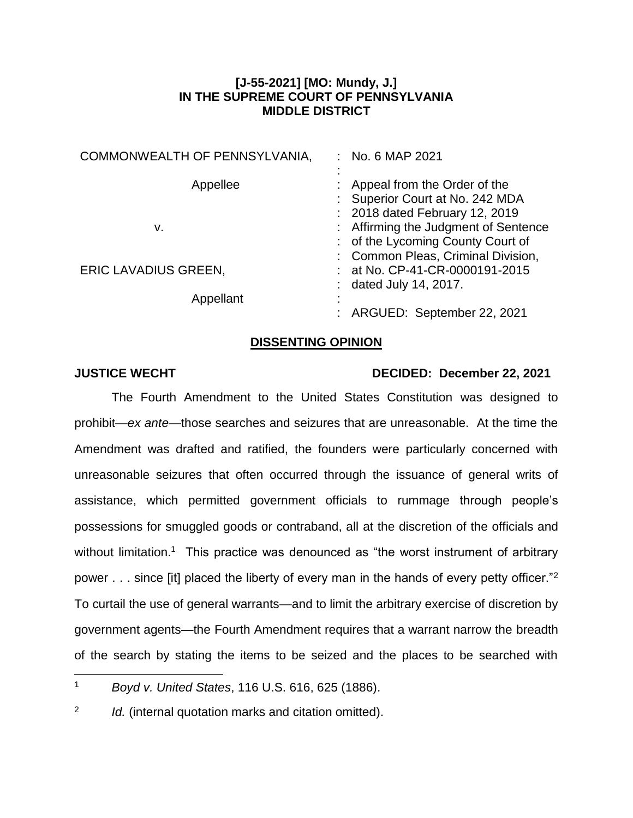## **[J-55-2021] [MO: Mundy, J.] IN THE SUPREME COURT OF PENNSYLVANIA MIDDLE DISTRICT**

| COMMONWEALTH OF PENNSYLVANIA,            | : No. 6 MAP 2021                                                                                                                                                               |
|------------------------------------------|--------------------------------------------------------------------------------------------------------------------------------------------------------------------------------|
| Appellee<br>v.                           | Appeal from the Order of the<br>: Superior Court at No. 242 MDA<br>: 2018 dated February 12, 2019<br>: Affirming the Judgment of Sentence<br>: of the Lycoming County Court of |
| <b>ERIC LAVADIUS GREEN,</b><br>Appellant | : Common Pleas, Criminal Division,<br>: at No. CP-41-CR-0000191-2015<br>: dated July 14, 2017.<br>ARGUED: September 22, 2021                                                   |

## **DISSENTING OPINION**

 $\overline{a}$ 

## **JUSTICE WECHT DECIDED: December 22, 2021**

The Fourth Amendment to the United States Constitution was designed to prohibit—*ex ante*—those searches and seizures that are unreasonable. At the time the Amendment was drafted and ratified, the founders were particularly concerned with unreasonable seizures that often occurred through the issuance of general writs of assistance, which permitted government officials to rummage through people's possessions for smuggled goods or contraband, all at the discretion of the officials and without limitation.<sup>1</sup> This practice was denounced as "the worst instrument of arbitrary power  $\dots$  since [it] placed the liberty of every man in the hands of every petty officer."<sup>2</sup> To curtail the use of general warrants—and to limit the arbitrary exercise of discretion by government agents—the Fourth Amendment requires that a warrant narrow the breadth of the search by stating the items to be seized and the places to be searched with

<sup>1</sup> *Boyd v. United States*, 116 U.S. 616, 625 (1886).

<sup>2</sup> *Id.* (internal quotation marks and citation omitted).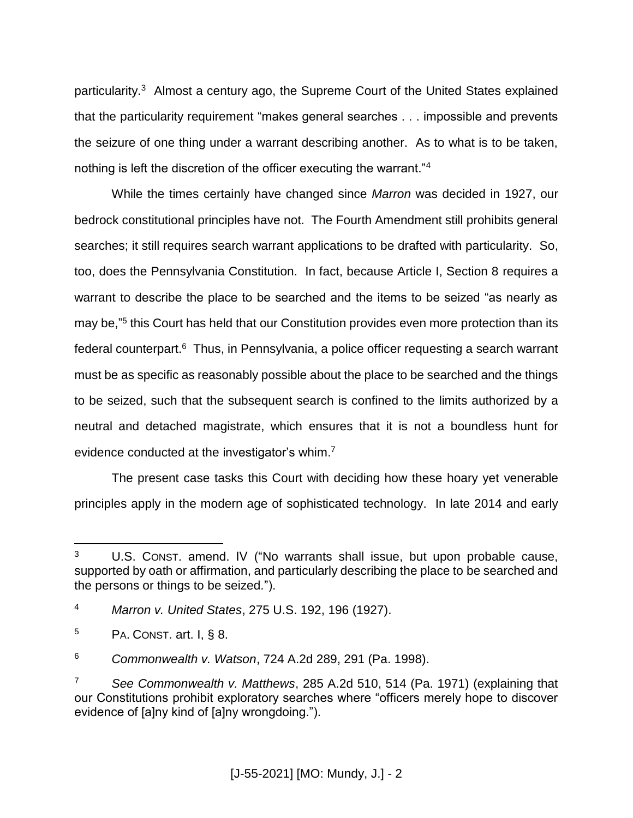particularity.<sup>3</sup> Almost a century ago, the Supreme Court of the United States explained that the particularity requirement "makes general searches . . . impossible and prevents the seizure of one thing under a warrant describing another. As to what is to be taken, nothing is left the discretion of the officer executing the warrant."<sup>4</sup>

While the times certainly have changed since *Marron* was decided in 1927, our bedrock constitutional principles have not. The Fourth Amendment still prohibits general searches; it still requires search warrant applications to be drafted with particularity. So, too, does the Pennsylvania Constitution. In fact, because Article I, Section 8 requires a warrant to describe the place to be searched and the items to be seized "as nearly as may be,"<sup>5</sup> this Court has held that our Constitution provides even more protection than its federal counterpart.<sup>6</sup> Thus, in Pennsylvania, a police officer requesting a search warrant must be as specific as reasonably possible about the place to be searched and the things to be seized, such that the subsequent search is confined to the limits authorized by a neutral and detached magistrate, which ensures that it is not a boundless hunt for evidence conducted at the investigator's whim.<sup>7</sup>

The present case tasks this Court with deciding how these hoary yet venerable principles apply in the modern age of sophisticated technology. In late 2014 and early

 $\overline{a}$ <sup>3</sup> U.S. CONST. amend. IV ("No warrants shall issue, but upon probable cause, supported by oath or affirmation, and particularly describing the place to be searched and the persons or things to be seized.").

<sup>4</sup> *Marron v. United States*, 275 U.S. 192, 196 (1927).

 $5$  PA. CONST. art. I, § 8.

<sup>6</sup> *Commonwealth v. Watson*, 724 A.2d 289, 291 (Pa. 1998).

<sup>7</sup> *See Commonwealth v. Matthews*, 285 A.2d 510, 514 (Pa. 1971) (explaining that our Constitutions prohibit exploratory searches where "officers merely hope to discover evidence of [a]ny kind of [a]ny wrongdoing.").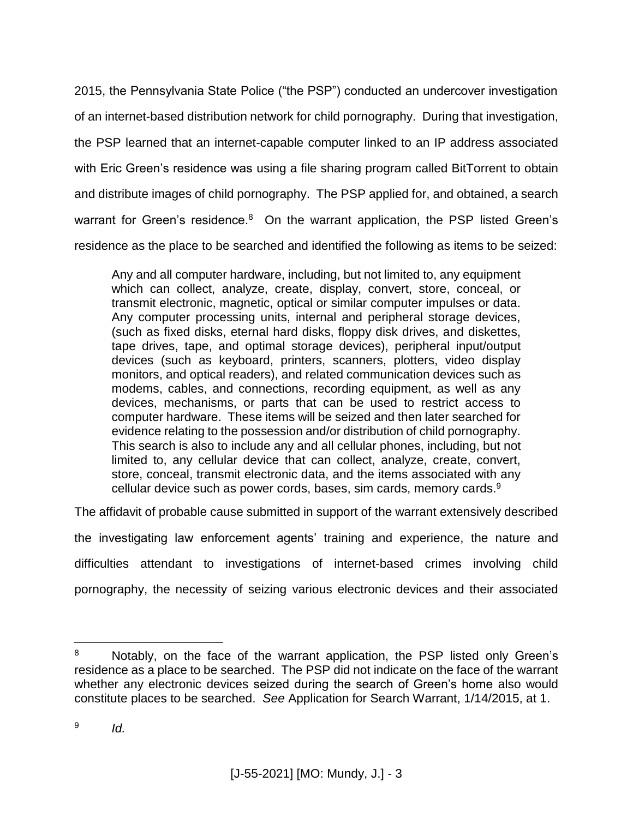2015, the Pennsylvania State Police ("the PSP") conducted an undercover investigation of an internet-based distribution network for child pornography. During that investigation, the PSP learned that an internet-capable computer linked to an IP address associated with Eric Green's residence was using a file sharing program called BitTorrent to obtain and distribute images of child pornography. The PSP applied for, and obtained, a search warrant for Green's residence. $8$  On the warrant application, the PSP listed Green's residence as the place to be searched and identified the following as items to be seized:

Any and all computer hardware, including, but not limited to, any equipment which can collect, analyze, create, display, convert, store, conceal, or transmit electronic, magnetic, optical or similar computer impulses or data. Any computer processing units, internal and peripheral storage devices, (such as fixed disks, eternal hard disks, floppy disk drives, and diskettes, tape drives, tape, and optimal storage devices), peripheral input/output devices (such as keyboard, printers, scanners, plotters, video display monitors, and optical readers), and related communication devices such as modems, cables, and connections, recording equipment, as well as any devices, mechanisms, or parts that can be used to restrict access to computer hardware. These items will be seized and then later searched for evidence relating to the possession and/or distribution of child pornography. This search is also to include any and all cellular phones, including, but not limited to, any cellular device that can collect, analyze, create, convert, store, conceal, transmit electronic data, and the items associated with any cellular device such as power cords, bases, sim cards, memory cards.<sup>9</sup>

The affidavit of probable cause submitted in support of the warrant extensively described

the investigating law enforcement agents' training and experience, the nature and difficulties attendant to investigations of internet-based crimes involving child pornography, the necessity of seizing various electronic devices and their associated

<sup>&</sup>lt;sup>8</sup> Notably, on the face of the warrant application, the PSP listed only Green's residence as a place to be searched. The PSP did not indicate on the face of the warrant whether any electronic devices seized during the search of Green's home also would constitute places to be searched. *See* Application for Search Warrant, 1/14/2015, at 1.

<sup>9</sup> *Id.*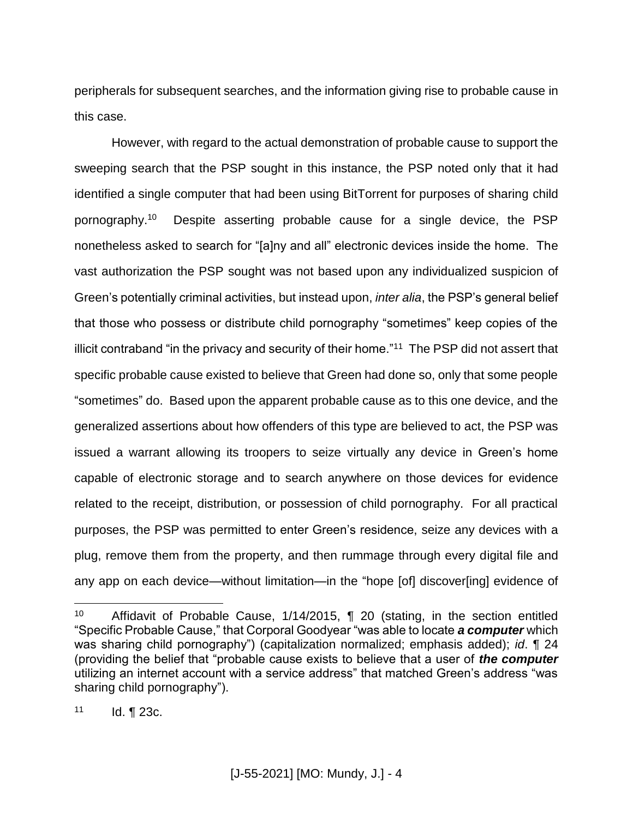peripherals for subsequent searches, and the information giving rise to probable cause in this case.

However, with regard to the actual demonstration of probable cause to support the sweeping search that the PSP sought in this instance, the PSP noted only that it had identified a single computer that had been using BitTorrent for purposes of sharing child pornography.<sup>10</sup> Despite asserting probable cause for a single device, the PSP nonetheless asked to search for "[a]ny and all" electronic devices inside the home. The vast authorization the PSP sought was not based upon any individualized suspicion of Green's potentially criminal activities, but instead upon, *inter alia*, the PSP's general belief that those who possess or distribute child pornography "sometimes" keep copies of the illicit contraband "in the privacy and security of their home."<sup>11</sup> The PSP did not assert that specific probable cause existed to believe that Green had done so, only that some people "sometimes" do. Based upon the apparent probable cause as to this one device, and the generalized assertions about how offenders of this type are believed to act, the PSP was issued a warrant allowing its troopers to seize virtually any device in Green's home capable of electronic storage and to search anywhere on those devices for evidence related to the receipt, distribution, or possession of child pornography. For all practical purposes, the PSP was permitted to enter Green's residence, seize any devices with a plug, remove them from the property, and then rummage through every digital file and any app on each device—without limitation—in the "hope [of] discover[ing] evidence of

<sup>10</sup> Affidavit of Probable Cause, 1/14/2015, ¶ 20 (stating, in the section entitled "Specific Probable Cause," that Corporal Goodyear "was able to locate *a computer* which was sharing child pornography") (capitalization normalized; emphasis added); *id*. ¶ 24 (providing the belief that "probable cause exists to believe that a user of *the computer*  utilizing an internet account with a service address" that matched Green's address "was sharing child pornography").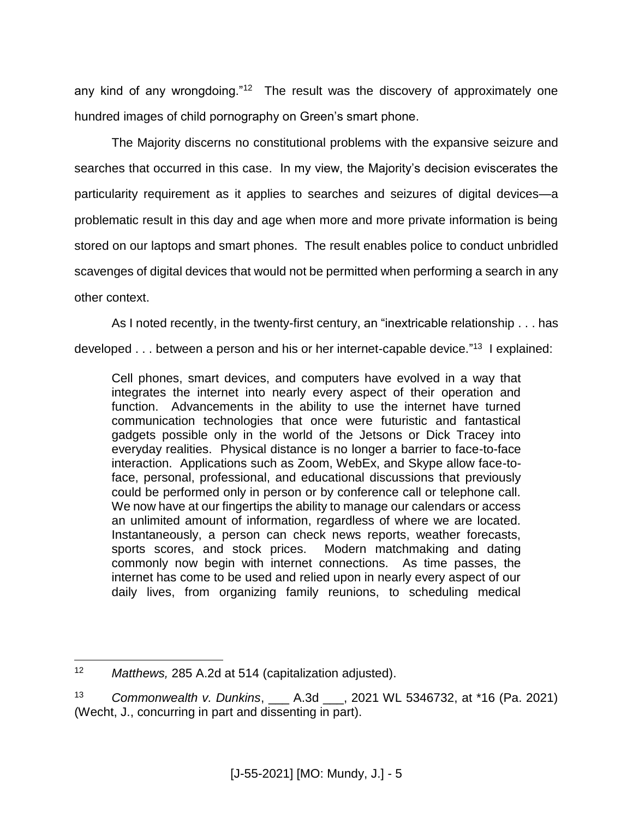any kind of any wrongdoing."<sup>12</sup> The result was the discovery of approximately one hundred images of child pornography on Green's smart phone.

The Majority discerns no constitutional problems with the expansive seizure and searches that occurred in this case. In my view, the Majority's decision eviscerates the particularity requirement as it applies to searches and seizures of digital devices—a problematic result in this day and age when more and more private information is being stored on our laptops and smart phones. The result enables police to conduct unbridled scavenges of digital devices that would not be permitted when performing a search in any other context.

As I noted recently, in the twenty-first century, an "inextricable relationship . . . has

developed . . . between a person and his or her internet-capable device."<sup>13</sup> I explained:

Cell phones, smart devices, and computers have evolved in a way that integrates the internet into nearly every aspect of their operation and function. Advancements in the ability to use the internet have turned communication technologies that once were futuristic and fantastical gadgets possible only in the world of the Jetsons or Dick Tracey into everyday realities. Physical distance is no longer a barrier to face-to-face interaction. Applications such as Zoom, WebEx, and Skype allow face-toface, personal, professional, and educational discussions that previously could be performed only in person or by conference call or telephone call. We now have at our fingertips the ability to manage our calendars or access an unlimited amount of information, regardless of where we are located. Instantaneously, a person can check news reports, weather forecasts, sports scores, and stock prices. Modern matchmaking and dating commonly now begin with internet connections. As time passes, the internet has come to be used and relied upon in nearly every aspect of our daily lives, from organizing family reunions, to scheduling medical

 $12<sup>12</sup>$ *Matthews, 285 A.2d at 514 (capitalization adjusted).* 

<sup>13</sup> *Commonwealth v. Dunkins*, \_\_\_ A.3d \_\_\_, 2021 WL 5346732, at \*16 (Pa. 2021) (Wecht, J., concurring in part and dissenting in part).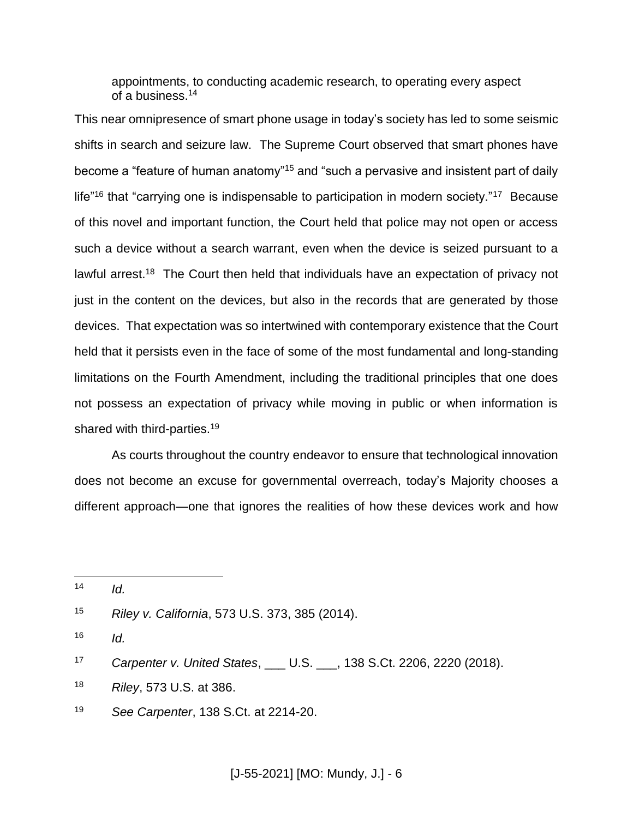appointments, to conducting academic research, to operating every aspect of a business.<sup>14</sup>

This near omnipresence of smart phone usage in today's society has led to some seismic shifts in search and seizure law. The Supreme Court observed that smart phones have become a "feature of human anatomy"<sup>15</sup> and "such a pervasive and insistent part of daily life"<sup>16</sup> that "carrying one is indispensable to participation in modern society."<sup>17</sup> Because of this novel and important function, the Court held that police may not open or access such a device without a search warrant, even when the device is seized pursuant to a lawful arrest.<sup>18</sup> The Court then held that individuals have an expectation of privacy not just in the content on the devices, but also in the records that are generated by those devices. That expectation was so intertwined with contemporary existence that the Court held that it persists even in the face of some of the most fundamental and long-standing limitations on the Fourth Amendment, including the traditional principles that one does not possess an expectation of privacy while moving in public or when information is shared with third-parties.<sup>19</sup>

As courts throughout the country endeavor to ensure that technological innovation does not become an excuse for governmental overreach, today's Majority chooses a different approach—one that ignores the realities of how these devices work and how

 $\overline{a}$ 

 $16$  *Id.* 

- <sup>18</sup> *Riley*, 573 U.S. at 386.
- <sup>19</sup> *See Carpenter*, 138 S.Ct. at 2214-20.

 $14$  *Id.* 

<sup>15</sup> *Riley v. California*, 573 U.S. 373, 385 (2014).

<sup>17</sup> *Carpenter v. United States*, \_\_\_ U.S. \_\_\_, 138 S.Ct. 2206, 2220 (2018).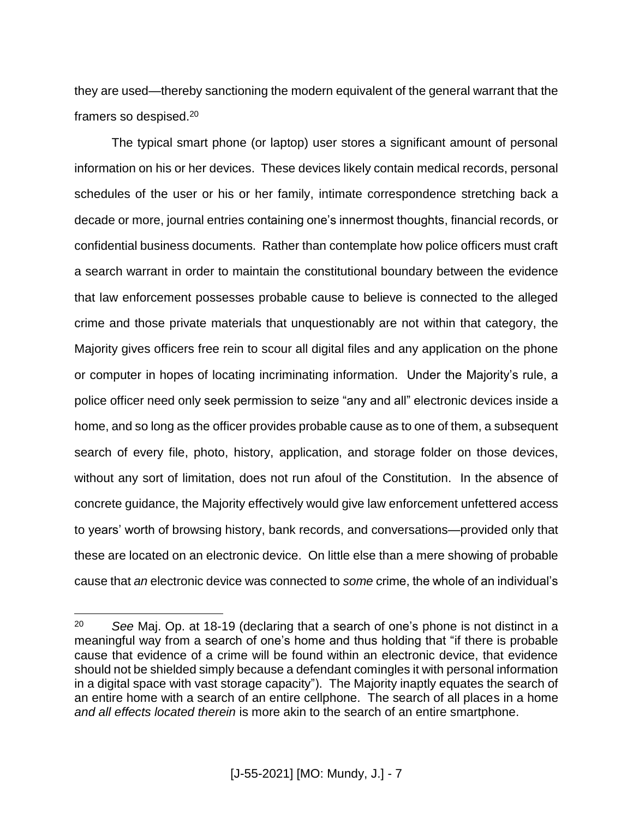they are used—thereby sanctioning the modern equivalent of the general warrant that the framers so despised. 20

The typical smart phone (or laptop) user stores a significant amount of personal information on his or her devices. These devices likely contain medical records, personal schedules of the user or his or her family, intimate correspondence stretching back a decade or more, journal entries containing one's innermost thoughts, financial records, or confidential business documents. Rather than contemplate how police officers must craft a search warrant in order to maintain the constitutional boundary between the evidence that law enforcement possesses probable cause to believe is connected to the alleged crime and those private materials that unquestionably are not within that category, the Majority gives officers free rein to scour all digital files and any application on the phone or computer in hopes of locating incriminating information. Under the Majority's rule, a police officer need only seek permission to seize "any and all" electronic devices inside a home, and so long as the officer provides probable cause as to one of them, a subsequent search of every file, photo, history, application, and storage folder on those devices, without any sort of limitation, does not run afoul of the Constitution. In the absence of concrete guidance, the Majority effectively would give law enforcement unfettered access to years' worth of browsing history, bank records, and conversations—provided only that these are located on an electronic device. On little else than a mere showing of probable cause that *an* electronic device was connected to *some* crime, the whole of an individual's

<sup>20</sup> *See* Maj. Op. at 18-19 (declaring that a search of one's phone is not distinct in a meaningful way from a search of one's home and thus holding that "if there is probable cause that evidence of a crime will be found within an electronic device, that evidence should not be shielded simply because a defendant comingles it with personal information in a digital space with vast storage capacity"). The Majority inaptly equates the search of an entire home with a search of an entire cellphone. The search of all places in a home *and all effects located therein* is more akin to the search of an entire smartphone.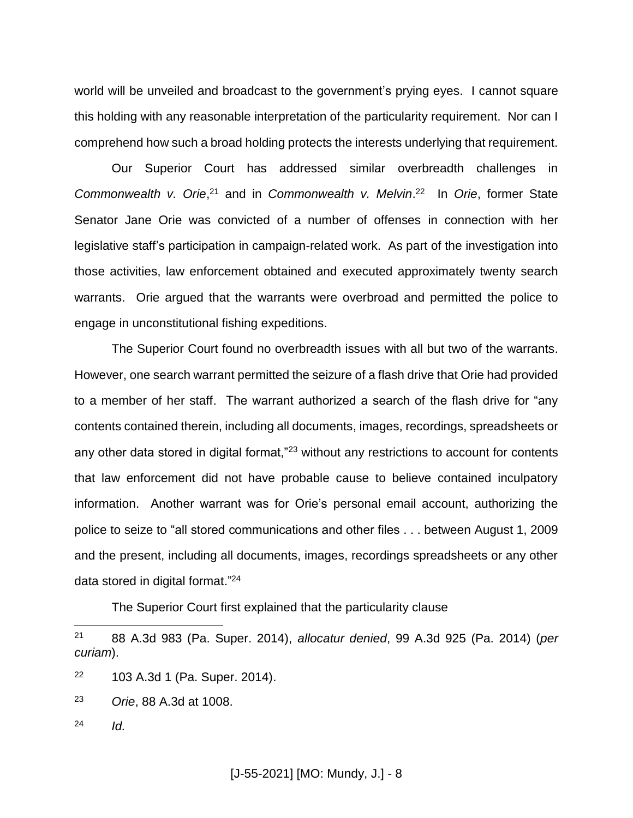world will be unveiled and broadcast to the government's prying eyes. I cannot square this holding with any reasonable interpretation of the particularity requirement. Nor can I comprehend how such a broad holding protects the interests underlying that requirement.

Our Superior Court has addressed similar overbreadth challenges in Commonwealth v. Orie,<sup>21</sup> and in *Commonwealth v. Melvin*.<sup>22</sup> In Orie, former State Senator Jane Orie was convicted of a number of offenses in connection with her legislative staff's participation in campaign-related work. As part of the investigation into those activities, law enforcement obtained and executed approximately twenty search warrants. Orie argued that the warrants were overbroad and permitted the police to engage in unconstitutional fishing expeditions.

The Superior Court found no overbreadth issues with all but two of the warrants. However, one search warrant permitted the seizure of a flash drive that Orie had provided to a member of her staff. The warrant authorized a search of the flash drive for "any contents contained therein, including all documents, images, recordings, spreadsheets or any other data stored in digital format,"<sup>23</sup> without any restrictions to account for contents that law enforcement did not have probable cause to believe contained inculpatory information. Another warrant was for Orie's personal email account, authorizing the police to seize to "all stored communications and other files . . . between August 1, 2009 and the present, including all documents, images, recordings spreadsheets or any other data stored in digital format."<sup>24</sup>

The Superior Court first explained that the particularity clause

- <sup>22</sup> 103 A.3d 1 (Pa. Super. 2014).
- <sup>23</sup> *Orie*, 88 A.3d at 1008.
- <sup>24</sup> *Id.*

<sup>21</sup> 88 A.3d 983 (Pa. Super. 2014), *allocatur denied*, 99 A.3d 925 (Pa. 2014) (*per curiam*).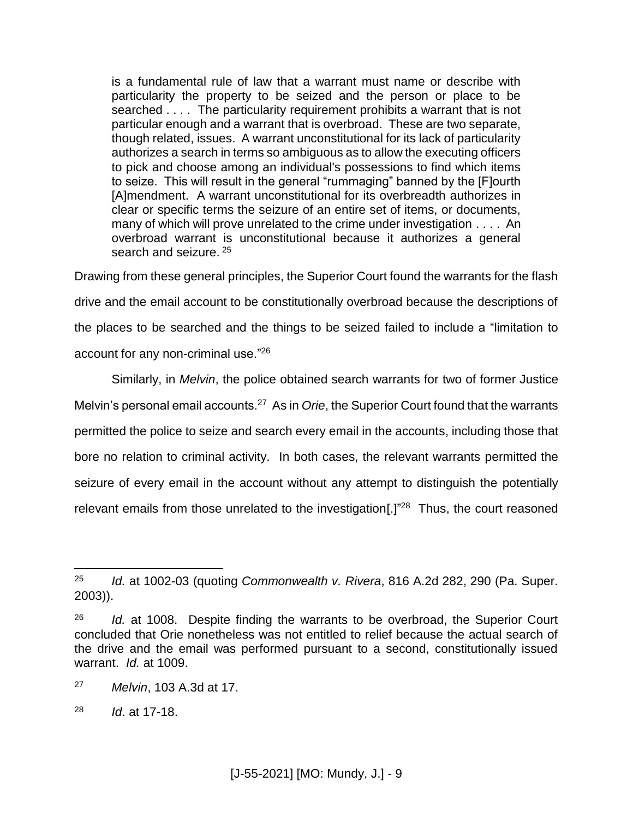is a fundamental rule of law that a warrant must name or describe with particularity the property to be seized and the person or place to be searched . . . . The particularity requirement prohibits a warrant that is not particular enough and a warrant that is overbroad. These are two separate, though related, issues. A warrant unconstitutional for its lack of particularity authorizes a search in terms so ambiguous as to allow the executing officers to pick and choose among an individual's possessions to find which items to seize. This will result in the general "rummaging" banned by the [F]ourth [A]mendment. A warrant unconstitutional for its overbreadth authorizes in clear or specific terms the seizure of an entire set of items, or documents, many of which will prove unrelated to the crime under investigation . . . . An overbroad warrant is unconstitutional because it authorizes a general search and seizure. <sup>25</sup>

Drawing from these general principles, the Superior Court found the warrants for the flash drive and the email account to be constitutionally overbroad because the descriptions of the places to be searched and the things to be seized failed to include a "limitation to account for any non-criminal use."<sup>26</sup>

Similarly, in *Melvin*, the police obtained search warrants for two of former Justice Melvin's personal email accounts.<sup>27</sup> As in *Orie*, the Superior Court found that the warrants permitted the police to seize and search every email in the accounts, including those that bore no relation to criminal activity. In both cases, the relevant warrants permitted the seizure of every email in the account without any attempt to distinguish the potentially relevant emails from those unrelated to the investigation[ $\cdot$ ]<sup>"28</sup> Thus, the court reasoned

<sup>25</sup> *Id.* at 1002-03 (quoting *Commonwealth v. Rivera*, 816 A.2d 282, 290 (Pa. Super. 2003)).

<sup>26</sup> *Id.* at 1008. Despite finding the warrants to be overbroad, the Superior Court concluded that Orie nonetheless was not entitled to relief because the actual search of the drive and the email was performed pursuant to a second, constitutionally issued warrant. *Id.* at 1009.

<sup>27</sup> *Melvin*, 103 A.3d at 17.

<sup>28</sup> *Id*. at 17-18.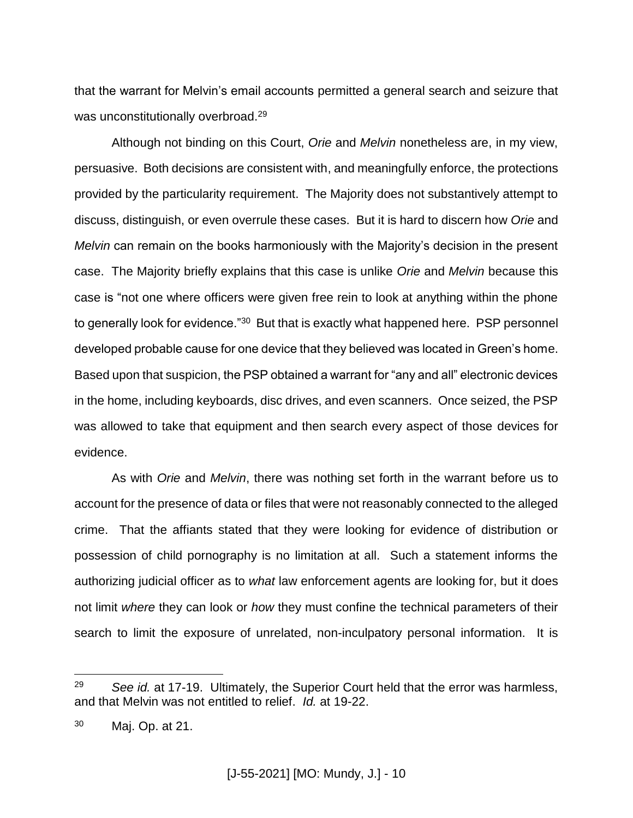that the warrant for Melvin's email accounts permitted a general search and seizure that was unconstitutionally overbroad.<sup>29</sup>

Although not binding on this Court, *Orie* and *Melvin* nonetheless are, in my view, persuasive. Both decisions are consistent with, and meaningfully enforce, the protections provided by the particularity requirement. The Majority does not substantively attempt to discuss, distinguish, or even overrule these cases. But it is hard to discern how *Orie* and *Melvin* can remain on the books harmoniously with the Majority's decision in the present case. The Majority briefly explains that this case is unlike *Orie* and *Melvin* because this case is "not one where officers were given free rein to look at anything within the phone to generally look for evidence."<sup>30</sup> But that is exactly what happened here. PSP personnel developed probable cause for one device that they believed was located in Green's home. Based upon that suspicion, the PSP obtained a warrant for "any and all" electronic devices in the home, including keyboards, disc drives, and even scanners. Once seized, the PSP was allowed to take that equipment and then search every aspect of those devices for evidence.

As with *Orie* and *Melvin*, there was nothing set forth in the warrant before us to account for the presence of data or files that were not reasonably connected to the alleged crime. That the affiants stated that they were looking for evidence of distribution or possession of child pornography is no limitation at all. Such a statement informs the authorizing judicial officer as to *what* law enforcement agents are looking for, but it does not limit *where* they can look or *how* they must confine the technical parameters of their search to limit the exposure of unrelated, non-inculpatory personal information. It is

<sup>&</sup>lt;sup>29</sup> *See id.* at 17-19. Ultimately, the Superior Court held that the error was harmless, and that Melvin was not entitled to relief. *Id.* at 19-22.

<sup>30</sup> Maj. Op. at 21.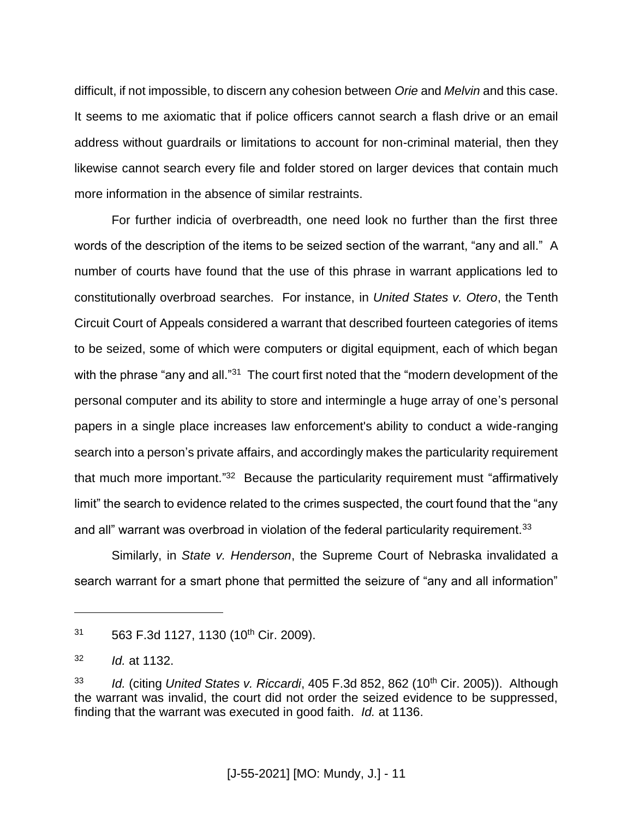difficult, if not impossible, to discern any cohesion between *Orie* and *Melvin* and this case. It seems to me axiomatic that if police officers cannot search a flash drive or an email address without guardrails or limitations to account for non-criminal material, then they likewise cannot search every file and folder stored on larger devices that contain much more information in the absence of similar restraints.

For further indicia of overbreadth, one need look no further than the first three words of the description of the items to be seized section of the warrant, "any and all." A number of courts have found that the use of this phrase in warrant applications led to constitutionally overbroad searches. For instance, in *United States v. Otero*, the Tenth Circuit Court of Appeals considered a warrant that described fourteen categories of items to be seized, some of which were computers or digital equipment, each of which began with the phrase "any and all."<sup>31</sup> The court first noted that the "modern development of the personal computer and its ability to store and intermingle a huge array of one's personal papers in a single place increases law enforcement's ability to conduct a wide-ranging search into a person's private affairs, and accordingly makes the particularity requirement that much more important."<sup>32</sup> Because the particularity requirement must "affirmatively limit" the search to evidence related to the crimes suspected, the court found that the "any and all" warrant was overbroad in violation of the federal particularity requirement. $33$ 

Similarly, in *State v. Henderson*, the Supreme Court of Nebraska invalidated a search warrant for a smart phone that permitted the seizure of "any and all information"

 $31$  563 F.3d 1127, 1130 (10<sup>th</sup> Cir. 2009).

<sup>32</sup> *Id.* at 1132.

<sup>&</sup>lt;sup>33</sup> *Id.* (citing *United States v. Riccardi*, 405 F.3d 852, 862 (10<sup>th</sup> Cir. 2005)). Although the warrant was invalid, the court did not order the seized evidence to be suppressed, finding that the warrant was executed in good faith. *Id.* at 1136.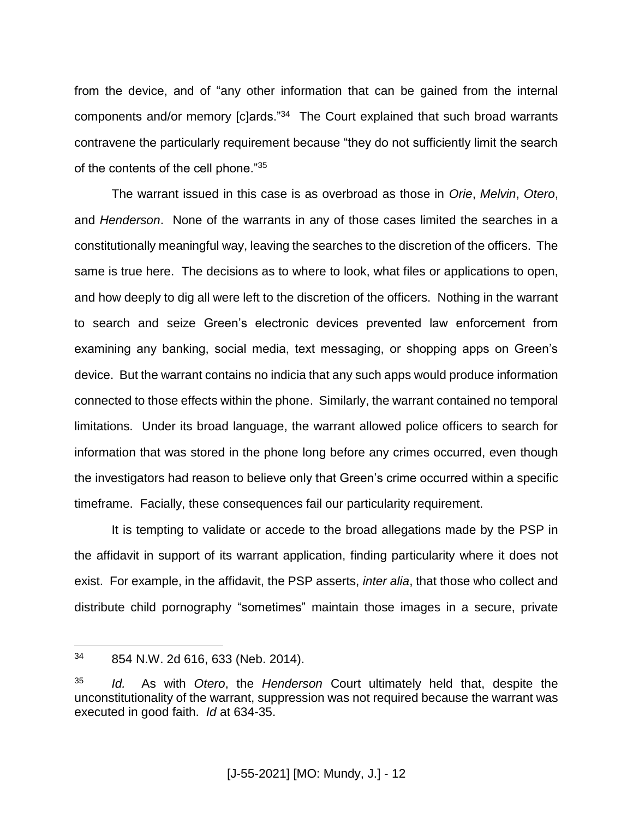from the device, and of "any other information that can be gained from the internal components and/or memory [c]ards."<sup>34</sup> The Court explained that such broad warrants contravene the particularly requirement because "they do not sufficiently limit the search of the contents of the cell phone."<sup>35</sup>

The warrant issued in this case is as overbroad as those in *Orie*, *Melvin*, *Otero*, and *Henderson*. None of the warrants in any of those cases limited the searches in a constitutionally meaningful way, leaving the searches to the discretion of the officers. The same is true here. The decisions as to where to look, what files or applications to open, and how deeply to dig all were left to the discretion of the officers. Nothing in the warrant to search and seize Green's electronic devices prevented law enforcement from examining any banking, social media, text messaging, or shopping apps on Green's device. But the warrant contains no indicia that any such apps would produce information connected to those effects within the phone. Similarly, the warrant contained no temporal limitations. Under its broad language, the warrant allowed police officers to search for information that was stored in the phone long before any crimes occurred, even though the investigators had reason to believe only that Green's crime occurred within a specific timeframe. Facially, these consequences fail our particularity requirement.

It is tempting to validate or accede to the broad allegations made by the PSP in the affidavit in support of its warrant application, finding particularity where it does not exist. For example, in the affidavit, the PSP asserts, *inter alia*, that those who collect and distribute child pornography "sometimes" maintain those images in a secure, private

<sup>34</sup> 854 N.W. 2d 616, 633 (Neb. 2014).

<sup>35</sup> *Id.* As with *Otero*, the *Henderson* Court ultimately held that, despite the unconstitutionality of the warrant, suppression was not required because the warrant was executed in good faith. *Id* at 634-35.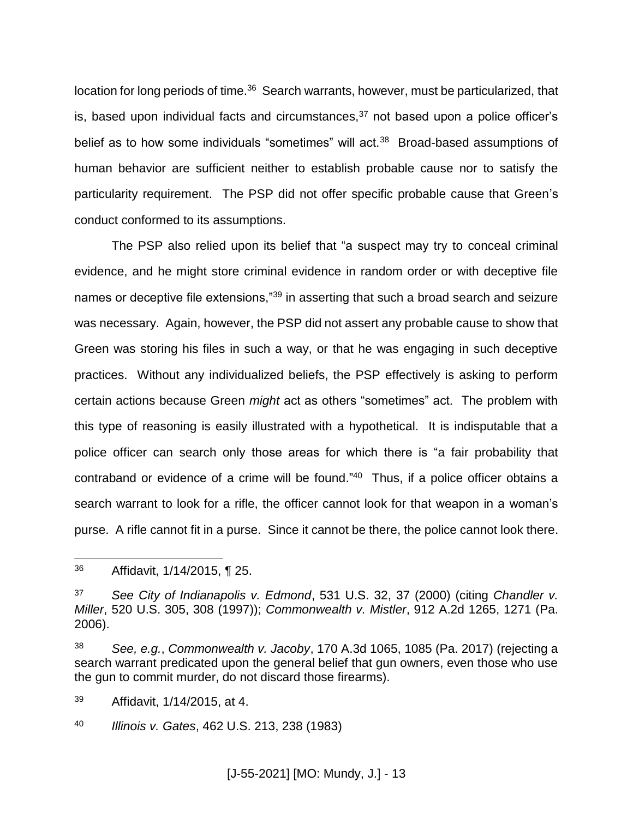location for long periods of time.<sup>36</sup> Search warrants, however, must be particularized, that is, based upon individual facts and circumstances, $37$  not based upon a police officer's belief as to how some individuals "sometimes" will act.<sup>38</sup> Broad-based assumptions of human behavior are sufficient neither to establish probable cause nor to satisfy the particularity requirement. The PSP did not offer specific probable cause that Green's conduct conformed to its assumptions.

The PSP also relied upon its belief that "a suspect may try to conceal criminal evidence, and he might store criminal evidence in random order or with deceptive file names or deceptive file extensions,"<sup>39</sup> in asserting that such a broad search and seizure was necessary. Again, however, the PSP did not assert any probable cause to show that Green was storing his files in such a way, or that he was engaging in such deceptive practices. Without any individualized beliefs, the PSP effectively is asking to perform certain actions because Green *might* act as others "sometimes" act. The problem with this type of reasoning is easily illustrated with a hypothetical. It is indisputable that a police officer can search only those areas for which there is "a fair probability that contraband or evidence of a crime will be found." 40 Thus, if a police officer obtains a search warrant to look for a rifle, the officer cannot look for that weapon in a woman's purse. A rifle cannot fit in a purse. Since it cannot be there, the police cannot look there.

<sup>36</sup> Affidavit, 1/14/2015, ¶ 25.

<sup>37</sup> *See City of Indianapolis v. Edmond*, 531 U.S. 32, 37 (2000) (citing *Chandler v. Miller*, 520 U.S. 305, 308 (1997)); *Commonwealth v. Mistler*, 912 A.2d 1265, 1271 (Pa. 2006).

<sup>38</sup> *See, e.g.*, *Commonwealth v. Jacoby*, 170 A.3d 1065, 1085 (Pa. 2017) (rejecting a search warrant predicated upon the general belief that gun owners, even those who use the gun to commit murder, do not discard those firearms).

<sup>39</sup> Affidavit, 1/14/2015, at 4.

<sup>40</sup> *Illinois v. Gates*, 462 U.S. 213, 238 (1983)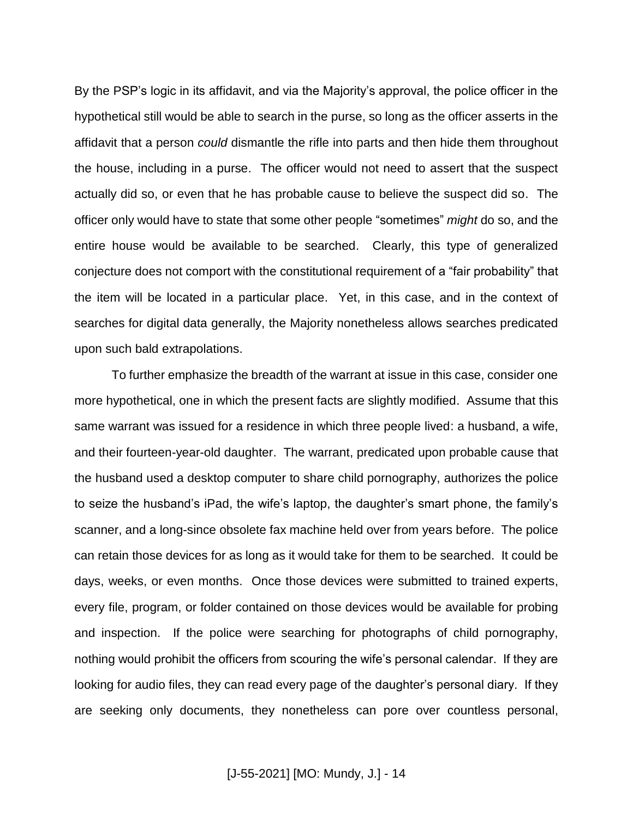By the PSP's logic in its affidavit, and via the Majority's approval, the police officer in the hypothetical still would be able to search in the purse, so long as the officer asserts in the affidavit that a person *could* dismantle the rifle into parts and then hide them throughout the house, including in a purse. The officer would not need to assert that the suspect actually did so, or even that he has probable cause to believe the suspect did so. The officer only would have to state that some other people "sometimes" *might* do so, and the entire house would be available to be searched. Clearly, this type of generalized conjecture does not comport with the constitutional requirement of a "fair probability" that the item will be located in a particular place. Yet, in this case, and in the context of searches for digital data generally, the Majority nonetheless allows searches predicated upon such bald extrapolations.

To further emphasize the breadth of the warrant at issue in this case, consider one more hypothetical, one in which the present facts are slightly modified. Assume that this same warrant was issued for a residence in which three people lived: a husband, a wife, and their fourteen-year-old daughter. The warrant, predicated upon probable cause that the husband used a desktop computer to share child pornography, authorizes the police to seize the husband's iPad, the wife's laptop, the daughter's smart phone, the family's scanner, and a long-since obsolete fax machine held over from years before. The police can retain those devices for as long as it would take for them to be searched. It could be days, weeks, or even months. Once those devices were submitted to trained experts, every file, program, or folder contained on those devices would be available for probing and inspection. If the police were searching for photographs of child pornography, nothing would prohibit the officers from scouring the wife's personal calendar. If they are looking for audio files, they can read every page of the daughter's personal diary. If they are seeking only documents, they nonetheless can pore over countless personal,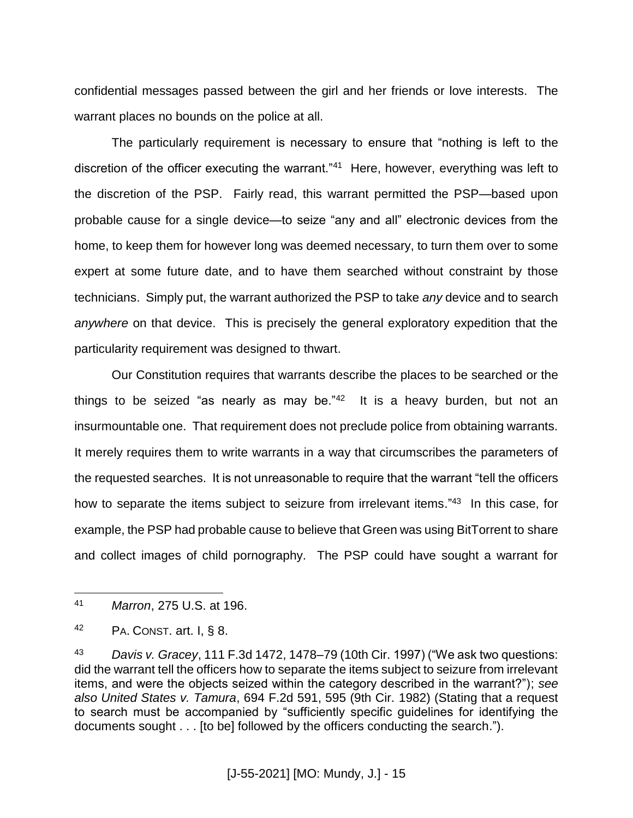confidential messages passed between the girl and her friends or love interests. The warrant places no bounds on the police at all.

The particularly requirement is necessary to ensure that "nothing is left to the discretion of the officer executing the warrant."<sup>41</sup> Here, however, everything was left to the discretion of the PSP. Fairly read, this warrant permitted the PSP—based upon probable cause for a single device—to seize "any and all" electronic devices from the home, to keep them for however long was deemed necessary, to turn them over to some expert at some future date, and to have them searched without constraint by those technicians. Simply put, the warrant authorized the PSP to take *any* device and to search *anywhere* on that device. This is precisely the general exploratory expedition that the particularity requirement was designed to thwart.

Our Constitution requires that warrants describe the places to be searched or the things to be seized "as nearly as may be." $42$  It is a heavy burden, but not an insurmountable one. That requirement does not preclude police from obtaining warrants. It merely requires them to write warrants in a way that circumscribes the parameters of the requested searches. It is not unreasonable to require that the warrant "tell the officers how to separate the items subject to seizure from irrelevant items."<sup>43</sup> In this case, for example, the PSP had probable cause to believe that Green was using BitTorrent to share and collect images of child pornography. The PSP could have sought a warrant for

<sup>41</sup> *Marron*, 275 U.S. at 196.

 $42$  PA. CONST. art. I, § 8.

<sup>43</sup> *Davis v. Gracey*, 111 F.3d 1472, 1478–79 (10th Cir. 1997) ("We ask two questions: did the warrant tell the officers how to separate the items subject to seizure from irrelevant items, and were the objects seized within the category described in the warrant?"); *see also United States v. Tamura*, 694 F.2d 591, 595 (9th Cir. 1982) (Stating that a request to search must be accompanied by "sufficiently specific guidelines for identifying the documents sought . . . [to be] followed by the officers conducting the search.").